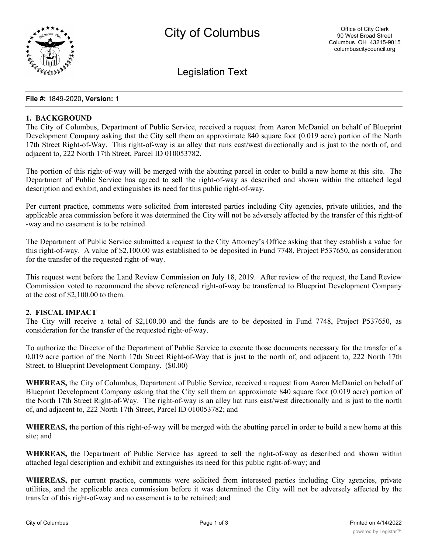

Legislation Text

#### **File #:** 1849-2020, **Version:** 1

## **1. BACKGROUND**

The City of Columbus, Department of Public Service, received a request from Aaron McDaniel on behalf of Blueprint Development Company asking that the City sell them an approximate 840 square foot (0.019 acre) portion of the North 17th Street Right-of-Way. This right-of-way is an alley that runs east/west directionally and is just to the north of, and adjacent to, 222 North 17th Street, Parcel ID 010053782.

The portion of this right-of-way will be merged with the abutting parcel in order to build a new home at this site. The Department of Public Service has agreed to sell the right-of-way as described and shown within the attached legal description and exhibit, and extinguishes its need for this public right-of-way.

Per current practice, comments were solicited from interested parties including City agencies, private utilities, and the applicable area commission before it was determined the City will not be adversely affected by the transfer of this right-of -way and no easement is to be retained.

The Department of Public Service submitted a request to the City Attorney's Office asking that they establish a value for this right-of-way. A value of \$2,100.00 was established to be deposited in Fund 7748, Project P537650, as consideration for the transfer of the requested right-of-way.

This request went before the Land Review Commission on July 18, 2019. After review of the request, the Land Review Commission voted to recommend the above referenced right-of-way be transferred to Blueprint Development Company at the cost of \$2,100.00 to them.

## **2. FISCAL IMPACT**

The City will receive a total of \$2,100.00 and the funds are to be deposited in Fund 7748, Project P537650, as consideration for the transfer of the requested right-of-way.

To authorize the Director of the Department of Public Service to execute those documents necessary for the transfer of a 0.019 acre portion of the North 17th Street Right-of-Way that is just to the north of, and adjacent to, 222 North 17th Street, to Blueprint Development Company. (\$0.00)

**WHEREAS,** the City of Columbus, Department of Public Service, received a request from Aaron McDaniel on behalf of Blueprint Development Company asking that the City sell them an approximate 840 square foot (0.019 acre) portion of the North 17th Street Right-of-Way. The right-of-way is an alley hat runs east/west directionally and is just to the north of, and adjacent to, 222 North 17th Street, Parcel ID 010053782; and

**WHEREAS, t**he portion of this right-of-way will be merged with the abutting parcel in order to build a new home at this site; and

**WHEREAS,** the Department of Public Service has agreed to sell the right-of-way as described and shown within attached legal description and exhibit and extinguishes its need for this public right-of-way; and

**WHEREAS,** per current practice, comments were solicited from interested parties including City agencies, private utilities, and the applicable area commission before it was determined the City will not be adversely affected by the transfer of this right-of-way and no easement is to be retained; and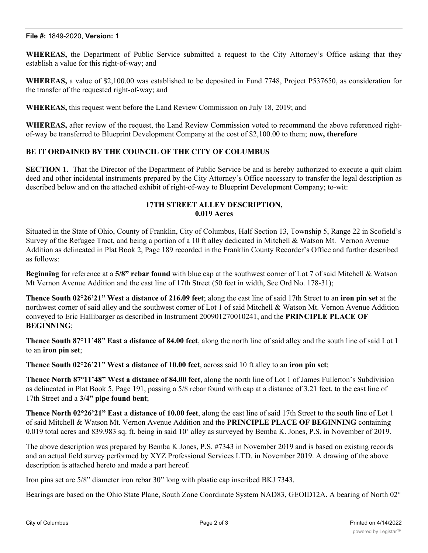**WHEREAS,** the Department of Public Service submitted a request to the City Attorney's Office asking that they establish a value for this right-of-way; and

**WHEREAS,** a value of \$2,100.00 was established to be deposited in Fund 7748, Project P537650, as consideration for the transfer of the requested right-of-way; and

**WHEREAS,** this request went before the Land Review Commission on July 18, 2019; and

**WHEREAS,** after review of the request, the Land Review Commission voted to recommend the above referenced rightof-way be transferred to Blueprint Development Company at the cost of \$2,100.00 to them; **now, therefore**

# **BE IT ORDAINED BY THE COUNCIL OF THE CITY OF COLUMBUS**

**SECTION 1.** That the Director of the Department of Public Service be and is hereby authorized to execute a quit claim deed and other incidental instruments prepared by the City Attorney's Office necessary to transfer the legal description as described below and on the attached exhibit of right-of-way to Blueprint Development Company; to-wit:

# **17TH STREET ALLEY DESCRIPTION, 0.019 Acres**

Situated in the State of Ohio, County of Franklin, City of Columbus, Half Section 13, Township 5, Range 22 in Scofield's Survey of the Refugee Tract, and being a portion of a 10 ft alley dedicated in Mitchell & Watson Mt. Vernon Avenue Addition as delineated in Plat Book 2, Page 189 recorded in the Franklin County Recorder's Office and further described as follows:

**Beginning** for reference at a **5/8" rebar found** with blue cap at the southwest corner of Lot 7 of said Mitchell & Watson Mt Vernon Avenue Addition and the east line of 17th Street (50 feet in width, See Ord No. 178-31);

**Thence South 02°26'21" West a distance of 216.09 feet**; along the east line of said 17th Street to an **iron pin set** at the northwest corner of said alley and the southwest corner of Lot 1 of said Mitchell & Watson Mt. Vernon Avenue Addition conveyed to Eric Hallibarger as described in Instrument 200901270010241, and the **PRINCIPLE PLACE OF BEGINNING**;

**Thence South 87°11'48" East a distance of 84.00 feet**, along the north line of said alley and the south line of said Lot 1 to an **iron pin set**;

**Thence South 02°26'21" West a distance of 10.00 feet**, across said 10 ft alley to an **iron pin set**;

**Thence North 87°11'48" West a distance of 84.00 feet**, along the north line of Lot 1 of James Fullerton's Subdivision as delineated in Plat Book 5, Page 191, passing a 5/8 rebar found with cap at a distance of 3.21 feet, to the east line of 17th Street and a **3/4" pipe found bent**;

**Thence North 02°26'21" East a distance of 10.00 feet**, along the east line of said 17th Street to the south line of Lot 1 of said Mitchell & Watson Mt. Vernon Avenue Addition and the **PRINCIPLE PLACE OF BEGINNING** containing 0.019 total acres and 839.983 sq. ft. being in said 10' alley as surveyed by Bemba K. Jones, P.S. in November of 2019.

The above description was prepared by Bemba K Jones, P.S. #7343 in November 2019 and is based on existing records and an actual field survey performed by XYZ Professional Services LTD. in November 2019. A drawing of the above description is attached hereto and made a part hereof.

Iron pins set are 5/8" diameter iron rebar 30" long with plastic cap inscribed BKJ 7343.

Bearings are based on the Ohio State Plane, South Zone Coordinate System NAD83, GEOID12A. A bearing of North 02°